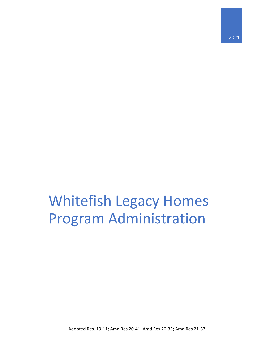# Whitefish Legacy Homes Program Administration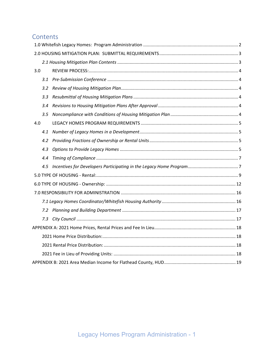# Contents

| 3.0 |     |  |
|-----|-----|--|
|     | 3.1 |  |
|     | 3.2 |  |
|     | 3.3 |  |
|     | 3.4 |  |
|     | 3.5 |  |
| 4.0 |     |  |
|     | 4.1 |  |
|     |     |  |
|     | 4.3 |  |
|     | 4.4 |  |
|     |     |  |
|     |     |  |
|     |     |  |
|     |     |  |
|     |     |  |
|     |     |  |
|     |     |  |
|     |     |  |
|     |     |  |
|     |     |  |
|     |     |  |
|     |     |  |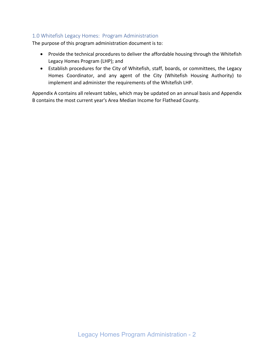# <span id="page-2-0"></span>1.0 Whitefish Legacy Homes: Program Administration

The purpose of this program administration document is to:

- Provide the technical procedures to deliver the affordable housing through the Whitefish Legacy Homes Program (LHP); and
- Establish procedures for the City of Whitefish, staff, boards, or committees, the Legacy Homes Coordinator, and any agent of the City (Whitefish Housing Authority) to implement and administer the requirements of the Whitefish LHP.

Appendix A contains all relevant tables, which may be updated on an annual basis and Appendix B contains the most current year's Area Median Income for Flathead County.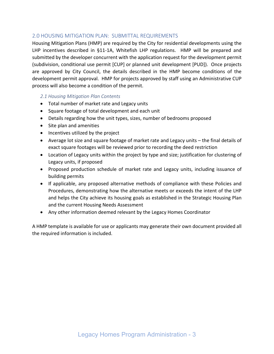# <span id="page-3-0"></span>2.0 HOUSING MITIGATION PLAN: SUBMITTAL REQUIREMENTS

Housing Mitigation Plans (HMP) are required by the City for residential developments using the LHP incentives described in §11-1A, Whitefish LHP regulations. HMP will be prepared and submitted by the developer concurrent with the application request for the development permit (subdivision, conditional use permit [CUP] or planned unit development [PUD]). Once projects are approved by City Council, the details described in the HMP become conditions of the development permit approval. HMP for projects approved by staff using an Administrative CUP process will also become a condition of the permit.

## <span id="page-3-1"></span>*2.1 Housing Mitigation Plan Contents*

- Total number of market rate and Legacy units
- Square footage of total development and each unit
- Details regarding how the unit types, sizes, number of bedrooms proposed
- Site plan and amenities
- Incentives utilized by the project
- Average lot size and square footage of market rate and Legacy units the final details of exact square footages will be reviewed prior to recording the deed restriction
- Location of Legacy units within the project by type and size; justification for clustering of Legacy units, if proposed
- Proposed production schedule of market rate and Legacy units, including issuance of building permits
- If applicable, any proposed alternative methods of compliance with these Policies and Procedures, demonstrating how the alternative meets or exceeds the intent of the LHP and helps the City achieve its housing goals as established in the Strategic Housing Plan and the current Housing Needs Assessment
- Any other information deemed relevant by the Legacy Homes Coordinator

A HMP template is available for use or applicants may generate their own document provided all the required information is included.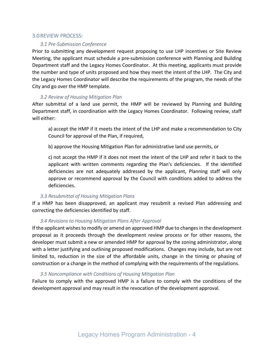#### <span id="page-4-1"></span><span id="page-4-0"></span>3.0REVIEW PROCESS:

#### *3.1 Pre-Submission Conference*

Prior to submitting any development request proposing to use LHP incentives or Site Review Meeting, the applicant must schedule a pre-submission conference with Planning and Building Department staff and the Legacy Homes Coordinator. At this meeting, applicants must provide the number and type of units proposed and how they meet the intent of the LHP. The City and the Legacy Homes Coordinator will describe the requirements of the program, the needs of the City and go over the HMP template.

#### *3.2 Review of Housing Mitigation Plan*

<span id="page-4-2"></span>After submittal of a land use permit, the HMP will be reviewed by Planning and Building Department staff, in coordination with the Legacy Homes Coordinator. Following review, staff will either:

a) accept the HMP if it meets the intent of the LHP and make a recommendation to City Council for approval of the Plan, if required,

b) approve the Housing Mitigation Plan for administrative land use permits, or

c) not accept the HMP if it does not meet the intent of the LHP and refer it back to the applicant with written comments regarding the Plan's deficiencies. If the identified deficiencies are not adequately addressed by the applicant, Planning staff will only approve or recommend approval by the Council with conditions added to address the deficiencies.

#### *3.3 Resubmittal of Housing Mitigation Plans*

<span id="page-4-3"></span>If a HMP has been disapproved, an applicant may resubmit a revised Plan addressing and correcting the deficiencies identified by staff.

#### *3.4 Revisions to Housing Mitigation Plans After Approval*

<span id="page-4-4"></span>If the applicant wishes to modify or amend an approved HMP due to changes in the development proposal as it proceeds through the development review process or for other reasons, the developer must submit a new or amended HMP for approval by the zoning administrator, along with a letter justifying and outlining proposed modifications. Changes may include, but are not limited to, reduction in the size of the affordable units, change in the timing or phasing of construction or a change in the method of complying with the requirements of the regulations.

#### *3.5 Noncompliance with Conditions of Housing Mitigation Plan*

<span id="page-4-5"></span>Failure to comply with the approved HMP is a failure to comply with the conditions of the development approval and may result in the revocation of the development approval.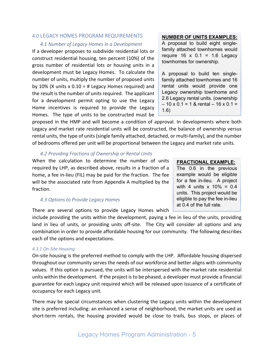#### <span id="page-5-1"></span><span id="page-5-0"></span>4.0 LEGACY HOMES PROGRAM REQUIREMENTS

#### *4.1 Number of Legacy Homes in a Development*

If a developer proposes to subdivide residential lots or construct residential housing, ten percent (10%) of the gross number of residential lots or housing units in a development must be Legacy Homes. To calculate the number of units, multiply the number of proposed units by 10% (X units x  $0.10 = #$  Legacy Homes required) and the result is the number of units required. The applicant for a development permit opting to use the Legacy Home incentives is required to provide the Legacy Homes. The type of units to be constructed must be

#### **NUMBER OF UNITS EXAMPLES:**

A proposal to build eight singlefamily attached townhomes would require  $16 \times 0.1 = 1.6$  Legacy townhomes for ownership.

A proposal to build ten singlefamily attached townhomes and 16 rental units would provide one Legacy ownership townhome and 2.6 Legacy rental units. (ownership  $-10 \times 0.1 = 1$  & rental  $-16 \times 0.1 =$ 1.6)

proposed in the HMP and will become a condition of approval. In developments where both Legacy and market rate residential units will be constructed, the balance of ownership versus rental units, the type of units (single family attached, detached, or multi-family), and the number of bedrooms offered per unit will be proportional between the Legacy and market rate units.

#### *4.2 Providing Fractions of Ownership or Rental Units*

<span id="page-5-2"></span>When the calculation to determine the number of units required by LHP, as described above, results in a fraction of a home, a fee in-lieu (FIL) may be paid for the fraction. The fee will be the associated rate from Appendix A multiplied by the fraction.

#### <span id="page-5-3"></span>*4.3 Options to Provide Legacy Homes*

There are several options to provide Legacy Homes which

include providing the units within the development, paying a fee in lieu of the units, providing land in lieu of units, or providing units off-site. The City will consider all options and any combination in order to provide affordable housing for our community. The following describes each of the options and expectations.

#### *4.3.1 On-Site Housing*

On-site housing is the preferred method to comply with the LHP. Affordable housing dispersed throughout our community serves the needs of our workforce and better aligns with community values. If this option is pursued, the units will be interspersed with the market rate residential units within the development. If the project is to be phased, a developer must provide a financial guarantee for each Legacy unit required which will be released upon issuance of a certificate of occupancy for each Legacy unit.

There may be special circumstances when clustering the Legacy units within the development site is preferred including: an enhanced a sense of neighborhood, the market units are used as short-term rentals, the housing provided would be close to trails, bus stops, or places of

# **FRACTIONAL EXAMPLE:**

The 0.6 in the previous example would be eligible for a fee in-lieu. A project with 4 units  $x$  10% = 0.4 units. This project would be eligible to pay the fee in-lieu at 0.4 of the full rate.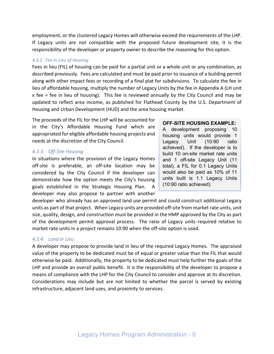employment, or the clustered Legacy Homes will otherwise exceed the requirements of the LHP. If Legacy units are not compatible with the proposed future development site, it is the responsibility of the developer or property owner to describe the reasoning for this option.

#### *4.3.2. Fee In Lieu of Housing*

Fees in lieu (FIL) of housing can be paid for a partial unit or a whole unit or any combination, as described previously. Fees are calculated and must be paid prior to issuance of a building permit along with other impact fees or recording of a final plat for subdivisions. To calculate the fee in lieu of affordable housing, multiply the number of Legacy Units by the fee in Appendix A (LH unit x fee = fee in lieu of housing). This fee is reviewed annually by the City Council and may be updated to reflect area income, as published for Flathead County by the U.S. Department of Housing and Urban Development (HUD) and the area housing market.

The proceeds of the FIL for the LHP will be accounted for in the City's Affordable Housing Fund which are appropriated for eligible affordable housing projects and needs at the discretion of the City Council.

#### *4.3.3. Off-Site Housing*

In situations where the provision of the Legacy Homes off-site is preferable, an off-site location may be considered by the City Council if the developer can demonstrate how the option meets the City's housing goals established in the Strategic Housing Plan. A developer may also propose to partner with another

#### **OFF-SITE HOUSING EXAMPLE:**

A development proposing 10 housing units would provide 1 Legacy Unit (10:90 ratio achieved). If the developer is to build 10 on-site market rate units and 1 off-site Legacy Unit (11 total), a FIL for 0.1 Legacy Units would also be paid as 10% of 11 units built is 1.1 Legacy Units (10:90 ratio achieved).

developer who already has an approved land use permit and could construct additional Legacy units as part of that project. When Legacy units are provided off-site from market rate units, unit size, quality, design, and construction must be provided in the HMP approved by the City as part of the development permit approval process. The ratio of Legacy units required relative to market rate units in a project remains 10:90 when the off-site option is used.

#### *4.3.4. Land in Lieu*

A developer may propose to provide land in lieu of the required Legacy Homes. The appraised value of the property to be dedicated must be of equal or greater value than the FIL that would otherwise be paid. Additionally, the property to be dedicated must help further the goals of the LHP and provide an overall public benefit. It is the responsibility of the developer to propose a means of compliance with the LHP for the City Council to consider and approve at its discretion. Considerations may include but are not limited to whether the parcel is served by existing infrastructure, adjacent land uses, and proximity to services.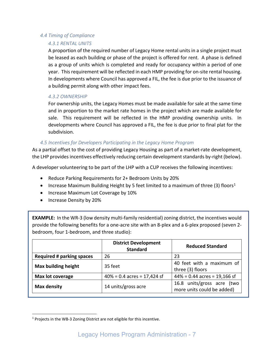# <span id="page-7-0"></span>*4.4 Timing of Compliance*

# *4.3.1 RENTAL UNITS*

A proportion of the required number of Legacy Home rental units in a single project must be leased as each building or phase of the project is offered for rent. A phase is defined as a group of units which is completed and ready for occupancy within a period of one year. This requirement will be reflected in each HMP providing for on-site rental housing. In developments where Council has approved a FIL, the fee is due prior to the issuance of a building permit along with other impact fees.

# *4.3.2 OWNERSHIP*

For ownership units, the Legacy Homes must be made available for sale at the same time and in proportion to the market rate homes in the project which are made available for sale. This requirement will be reflected in the HMP providing ownership units. In developments where Council has approved a FIL, the fee is due prior to final plat for the subdivision.

## *4.5 Incentives for Developers Participating in the Legacy Home Program*

<span id="page-7-1"></span>As a partial offset to the cost of providing Legacy Housing as part of a market-rate development, the LHP provides incentives effectively reducing certain development standards by-right (below).

A developer volunteering to be part of the LHP with a CUP receives the following incentives:

- Reduce Parking Requirements for 2+ Bedroom Units by 20%
- Increase Maximum Building Height by 5 feet limited to a maximum of three (3) floors<sup>[1](#page-7-2)</sup>
- Increase Maximum Lot Coverage by 10%
- Increase Density by 20%

**EXAMPLE:** In the WR-3 (low density multi-family residential) zoning district, the incentives would provide the following benefits for a one-acre site with an 8-plex and a 6-plex proposed (seven 2 bedroom, four 1-bedroom, and three studio):

|                                  | <b>District Development</b><br><b>Standard</b> | <b>Reduced Standard</b>                                  |  |  |  |
|----------------------------------|------------------------------------------------|----------------------------------------------------------|--|--|--|
| <b>Required # parking spaces</b> | 26                                             | 23                                                       |  |  |  |
| <b>Max building height</b>       | 35 feet                                        | 40 feet with a maximum of<br>three (3) floors            |  |  |  |
| Max lot coverage                 | $40\% = 0.4$ acres = 17,424 sf                 | $44\% = 0.44$ acres = 19,166 sf                          |  |  |  |
| <b>Max density</b>               | 14 units/gross acre                            | 16.8 units/gross acre (two<br>more units could be added) |  |  |  |

<span id="page-7-2"></span><sup>&</sup>lt;sup>1</sup> Projects in the WB-3 Zoning District are not eligible for this incentive.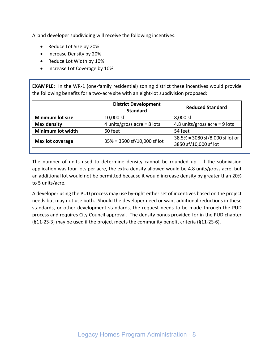A land developer subdividing will receive the following incentives:

- Reduce Lot Size by 20%
- Increase Density by 20%
- Reduce Lot Width by 10%
- Increase Lot Coverage by 10%

**EXAMPLE:** In the WR-1 (one-family residential) zoning district these incentives would provide the following benefits for a two-acre site with an eight-lot subdivision proposed:

|                         | <b>District Development</b><br><b>Standard</b> | <b>Reduced Standard</b>         |  |  |  |
|-------------------------|------------------------------------------------|---------------------------------|--|--|--|
| <b>Minimum lot size</b> | 10,000 sf                                      | 8,000 sf                        |  |  |  |
| <b>Max density</b>      | 4 units/gross acre = $8$ lots                  | 4.8 units/gross acre = $9$ lots |  |  |  |
| Minimum lot width       | 60 feet                                        | 54 feet                         |  |  |  |
|                         | 35% = 3500 sf/10,000 sf lot                    | 38.5% = 3080 sf/8,000 sf lot or |  |  |  |
| Max lot coverage        |                                                | 3850 sf/10,000 sf lot           |  |  |  |

The number of units used to determine density cannot be rounded up. If the subdivision application was four lots per acre, the extra density allowed would be 4.8 units/gross acre, but an additional lot would not be permitted because it would increase density by greater than 20% to 5 units/acre.

A developer using the PUD process may use by-right either set of incentives based on the project needs but may not use both. Should the developer need or want additional reductions in these standards, or other development standards, the request needs to be made through the PUD process and requires City Council approval. The density bonus provided for in the PUD chapter (§11-2S-3) may be used if the project meets the community benefit criteria (§11-2S-6).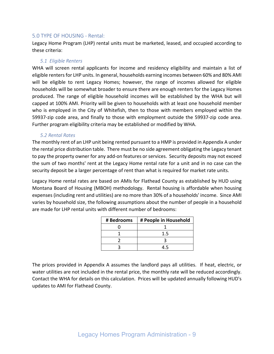# <span id="page-9-0"></span>5.0 TYPE OF HOUSING - Rental:

Legacy Home Program (LHP) rental units must be marketed, leased, and occupied according to these criteria:

#### *5.1 Eligible Renters*

WHA will screen rental applicants for income and residency eligibility and maintain a list of eligible renters for LHP units. In general, households earning incomes between 60% and 80% AMI will be eligible to rent Legacy Homes; however, the range of incomes allowed for eligible households will be somewhat broader to ensure there are enough renters for the Legacy Homes produced. The range of eligible household incomes will be established by the WHA but will capped at 100% AMI. Priority will be given to households with at least one household member who is employed in the City of Whitefish, then to those with members employed within the 59937-zip code area, and finally to those with employment outside the 59937-zip code area. Further program eligibility criteria may be established or modified by WHA.

#### *5.2 Rental Rates*

The monthly rent of an LHP unit being rented pursuant to a HMP is provided in Appendix A under the rental price distribution table. There must be no side agreement obligating the Legacy tenant to pay the property owner for any add-on features or services. Security deposits may not exceed the sum of two months' rent at the Legacy Home rental rate for a unit and in no case can the security deposit be a larger percentage of rent than what is required for market rate units.

Legacy Home rental rates are based on AMIs for Flathead County as established by HUD using Montana Board of Housing (MBOH) methodology. Rental housing is affordable when housing expenses (including rent and utilities) are no more than 30% of a households' income. Since AMI varies by household size, the following assumptions about the number of people in a household are made for LHP rental units with different number of bedrooms:

| # Bedrooms | # People in Household |
|------------|-----------------------|
|            |                       |
|            | 1.5                   |
|            |                       |
|            | 1 L                   |

The prices provided in Appendix A assumes the landlord pays all utilities. If heat, electric, or water utilities are not included in the rental price, the monthly rate will be reduced accordingly. Contact the WHA for details on this calculation. Prices will be updated annually following HUD's updates to AMI for Flathead County.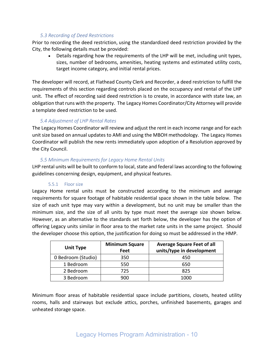# *5.3 Recording of Deed Restrictions*

Prior to recording the deed restriction, using the standardized deed restriction provided by the City, the following details must be provided:

• Details regarding how the requirements of the LHP will be met, including unit types, sizes, number of bedrooms, amenities, heating systems and estimated utility costs, target income category, and initial rental prices.

The developer will record, at Flathead County Clerk and Recorder, a deed restriction to fulfill the requirements of this section regarding controls placed on the occupancy and rental of the LHP unit. The effect of recording said deed restriction is to create, in accordance with state law, an obligation that runs with the property. The Legacy Homes Coordinator/City Attorney will provide a template deed restriction to be used.

# *5.4 Adjustment of LHP Rental Rates*

The Legacy Homes Coordinator will review and adjust the rent in each income range and for each unit size based on annual updates to AMI and using the MBOH methodology. The Legacy Homes Coordinator will publish the new rents immediately upon adoption of a Resolution approved by the City Council.

# *5.5 Minimum Requirements for Legacy Home Rental Units*

LHP rental units will be built to conform to local, state and federal laws according to the following guidelines concerning design, equipment, and physical features.

# 5.5.1 Floor size

Legacy Home rental units must be constructed according to the minimum and average requirements for square footage of habitable residential space shown in the table below. The size of each unit type may vary within a development, but no unit may be smaller than the minimum size, and the size of all units by type must meet the average size shown below. However, as an alternative to the standards set forth below, the developer has the option of offering Legacy units similar in floor area to the market rate units in the same project. Should the developer choose this option, the justification for doing so must be addressed in the HMP.

| <b>Unit Type</b>   | <b>Minimum Square</b><br>Feet | <b>Average Square Feet of all</b><br>units/type in development |  |  |  |  |
|--------------------|-------------------------------|----------------------------------------------------------------|--|--|--|--|
| 0 Bedroom (Studio) | 350                           | 450                                                            |  |  |  |  |
| 1 Bedroom          | 550                           | 650                                                            |  |  |  |  |
| 2 Bedroom          | 725                           | 825                                                            |  |  |  |  |
| 3 Bedroom          | 900                           | 1000                                                           |  |  |  |  |

Minimum floor areas of habitable residential space include partitions, closets, heated utility rooms, halls and stairways but exclude attics, porches, unfinished basements, garages and unheated storage space.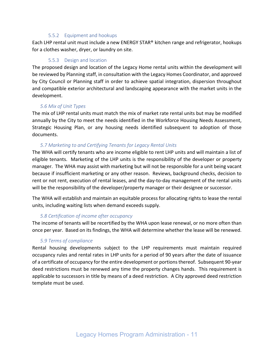#### 5.5.2 Equipment and hookups

Each LHP rental unit must include a new ENERGY STAR® kitchen range and refrigerator, hookups for a clothes washer, dryer, or laundry on site.

# 5.5.3 Design and location

The proposed design and location of the Legacy Home rental units within the development will be reviewed by Planning staff, in consultation with the Legacy Homes Coordinator, and approved by City Council or Planning staff in order to achieve spatial integration, dispersion throughout and compatible exterior architectural and landscaping appearance with the market units in the development.

# *5.6 Mix of Unit Types*

The mix of LHP rental units must match the mix of market rate rental units but may be modified annually by the City to meet the needs identified in the Workforce Housing Needs Assessment, Strategic Housing Plan, or any housing needs identified subsequent to adoption of those documents.

# *5.7 Marketing to and Certifying Tenants for Legacy Rental Units*

The WHA will certify tenants who are income eligible to rent LHP units and will maintain a list of eligible tenants. Marketing of the LHP units is the responsibility of the developer or property manager. The WHA may assist with marketing but will not be responsible for a unit being vacant because if insufficient marketing or any other reason. Reviews, background checks, decision to rent or not rent, execution of rental leases, and the day-to-day management of the rental units will be the responsibility of the developer/property manager or their designee or successor.

The WHA will establish and maintain an equitable process for allocating rights to lease the rental units, including waiting lists when demand exceeds supply.

#### *5.8 Certification of income after occupancy*

The income of tenants will be recertified by the WHA upon lease renewal, or no more often than once per year. Based on its findings, the WHA will determine whether the lease will be renewed.

# *5.9 Terms of compliance*

Rental housing developments subject to the LHP requirements must maintain required occupancy rules and rental rates in LHP units for a period of 90 years after the date of issuance of a certificate of occupancy for the entire development or portions thereof. Subsequent 90-year deed restrictions must be renewed any time the property changes hands. This requirement is applicable to successors in title by means of a deed restriction. A City approved deed restriction template must be used.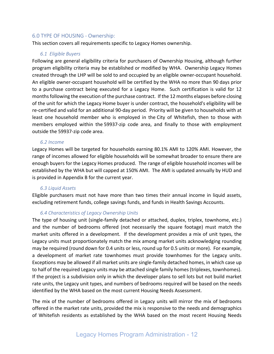## <span id="page-12-0"></span>6.0 TYPE OF HOUSING - Ownership:

This section covers all requirements specific to Legacy Homes ownership.

#### *6.1 Eligible Buyers*

Following are general eligibility criteria for purchasers of Ownership Housing, although further program eligibility criteria may be established or modified by WHA. Ownership Legacy Homes created through the LHP will be sold to and occupied by an eligible owner-occupant household. An eligible owner-occupant household will be certified by the WHA no more than 90 days prior to a purchase contract being executed for a Legacy Home. Such certification is valid for 12 months following the execution of the purchase contract. If the 12 months elapses before closing of the unit for which the Legacy Home buyer is under contract, the household's eligibility will be re-certified and valid for an additional 90-day period. Priority will be given to households with at least one household member who is employed in the City of Whitefish, then to those with members employed within the 59937-zip code area, and finally to those with employment outside the 59937-zip code area. 

#### *6.2 Income*

Legacy Homes will be targeted for households earning 80.1% AMI to 120% AMI. However, the range of incomes allowed for eligible households will be somewhat broader to ensure there are enough buyers for the Legacy Homes produced. The range of eligible household incomes will be established by the WHA but will capped at 150% AMI. The AMI is updated annually by HUD and is provided in Appendix B for the current year.

#### *6.3 Liquid Assets*

Eligible purchasers must not have more than two times their annual income in liquid assets, excluding retirement funds, college savings funds, and funds in Health Savings Accounts.

#### *6.4 Characteristics of Legacy Ownership Units*

The type of housing unit (single-family detached or attached, duplex, triplex, townhome, etc.) and the number of bedrooms offered (not necessarily the square footage) must match the market units offered in a development. If the development provides a mix of unit types, the Legacy units must proportionately match the mix among market units acknowledging rounding may be required (round down for 0.4 units or less, round up for 0.5 units or more). For example, a development of market rate townhomes must provide townhomes for the Legacy units. Exceptions may be allowed if all market units are single-family detached homes, in which case up to half of the required Legacy units may be attached single family homes (triplexes, townhomes). If the project is a subdivision only in which the developer plans to sell lots but not build market rate units, the Legacy unit types, and numbers of bedrooms required will be based on the needs identified by the WHA based on the most current Housing Needs Assessment.

The mix of the number of bedrooms offered in Legacy units will mirror the mix of bedrooms offered in the market rate units, provided the mix is responsive to the needs and demographics of Whitefish residents as established by the WHA based on the most recent Housing Needs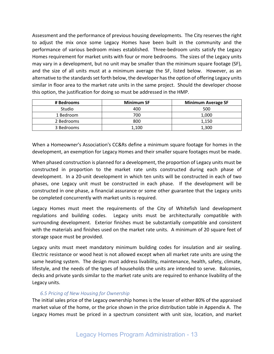Assessment and the performance of previous housing developments. The City reserves the right to adjust the mix once some Legacy Homes have been built in the community and the performance of various bedroom mixes established. Three-bedroom units satisfy the Legacy Homes requirement for market units with four or more bedrooms. The sizes of the Legacy units may vary in a development, but no unit may be smaller than the minimum square footage (SF), and the size of all units must at a minimum average the SF, listed below. However, as an alternative to the standards set forth below, the developer has the option of offering Legacy units similar in floor area to the market rate units in the same project. Should the developer choose this option, the justification for doing so must be addressed in the HMP.

| # Bedrooms | <b>Minimum SF</b> | <b>Minimum Average SF</b> |
|------------|-------------------|---------------------------|
| Studio     | 400               | 500                       |
| 1 Bedroom  | 700               | 1,000                     |
| 2 Bedrooms | 800               | 1,150                     |
| 3 Bedrooms | 1.100             | 1,300                     |

When a Homeowner's Association's CC&Rs define a minimum square footage for homes in the development, an exemption for Legacy Homes and their smaller square footages must be made.

When phased construction is planned for a development, the proportion of Legacy units must be constructed in proportion to the market rate units constructed during each phase of development. In a 20-unit development in which ten units will be constructed in each of two phases, one Legacy unit must be constructed in each phase. If the development will be constructed in one phase, a financial assurance or some other guarantee that the Legacy units be completed concurrently with market units is required.

Legacy Homes must meet the requirements of the City of Whitefish land development regulations and building codes. Legacy units must be architecturally compatible with surrounding development. Exterior finishes must be substantially compatible and consistent with the materials and finishes used on the market rate units. A minimum of 20 square feet of storage space must be provided.

Legacy units must meet mandatory minimum building codes for insulation and air sealing. Electric resistance or wood heat is not allowed except when all market rate units are using the same heating system. The design must address livability, maintenance, health, safety, climate, lifestyle, and the needs of the types of households the units are intended to serve. Balconies, decks and private yards similar to the market rate units are required to enhance livability of the Legacy units.

# *6.5 Pricing of New Housing for Ownership*

The initial sales price of the Legacy ownership homes is the lesser of either 80% of the appraised market value of the home, or the price shown in the price distribution table in Appendix A. The Legacy Homes must be priced in a spectrum consistent with unit size, location, and market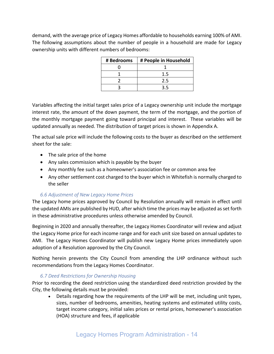demand, with the average price of Legacy Homes affordable to households earning 100% of AMI. The following assumptions about the number of people in a household are made for Legacy ownership units with different numbers of bedrooms:

| # Bedrooms | # People in Household |
|------------|-----------------------|
|            |                       |
|            | 1.5                   |
|            | 2.5                   |
|            |                       |

Variables affecting the initial target sales price of a Legacy ownership unit include the mortgage interest rate, the amount of the down payment, the term of the mortgage, and the portion of the monthly mortgage payment going toward principal and interest. These variables will be updated annually as needed. The distribution of target prices is shown in Appendix A.

The actual sale price will include the following costs to the buyer as described on the settlement sheet for the sale:

- The sale price of the home
- Any sales commission which is payable by the buyer
- Any monthly fee such as a homeowner's association fee or common area fee
- Any other settlement cost charged to the buyer which in Whitefish is normally charged to the seller

# *6.6 Adjustment of New Legacy Home Prices*

The Legacy home prices approved by Council by Resolution annually will remain in effect until the updated AMIs are published by HUD, after which time the prices may be adjusted as set forth in these administrative procedures unless otherwise amended by Council.

Beginning in 2020 and annually thereafter, the Legacy Homes Coordinator will review and adjust the Legacy Home price for each income range and for each unit size based on annual updates to AMI. The Legacy Homes Coordinator will publish new Legacy Home prices immediately upon adoption of a Resolution approved by the City Council.

Nothing herein prevents the City Council from amending the LHP ordinance without such recommendations from the Legacy Homes Coordinator.

# *6.7 Deed Restrictions for Ownership Housing*

Prior to recording the deed restriction using the standardized deed restriction provided by the City, the following details must be provided:

• Details regarding how the requirements of the LHP will be met, including unit types, sizes, number of bedrooms, amenities, heating systems and estimated utility costs, target income category, initial sales prices or rental prices, homeowner's association (HOA) structure and fees, if applicable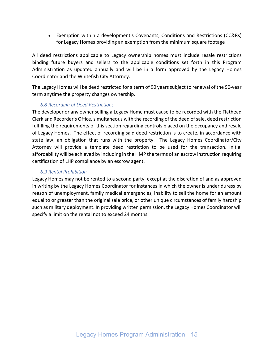• Exemption within a development's Covenants, Conditions and Restrictions (CC&Rs) for Legacy Homes providing an exemption from the minimum square footage

All deed restrictions applicable to Legacy ownership homes must include resale restrictions binding future buyers and sellers to the applicable conditions set forth in this Program Administration as updated annually and will be in a form approved by the Legacy Homes Coordinator and the Whitefish City Attorney.

The Legacy Homes will be deed restricted for a term of 90 years subject to renewal of the 90-year term anytime the property changes ownership.

# *6.8 Recording of Deed Restrictions*

The developer or any owner selling a Legacy Home must cause to be recorded with the Flathead Clerk and Recorder's Office, simultaneous with the recording of the deed of sale, deed restriction fulfilling the requirements of this section regarding controls placed on the occupancy and resale of Legacy Homes. The effect of recording said deed restriction is to create, in accordance with state law, an obligation that runs with the property. The Legacy Homes Coordinator/City Attorney will provide a template deed restriction to be used for the transaction. Initial affordability will be achieved by including in the HMP the terms of an escrow instruction requiring certification of LHP compliance by an escrow agent.

## *6.9 Rental Prohibition*

Legacy Homes may not be rented to a second party, except at the discretion of and as approved in writing by the Legacy Homes Coordinator for instances in which the owner is under duress by reason of unemployment, family medical emergencies, inability to sell the home for an amount equal to or greater than the original sale price, or other unique circumstances of family hardship such as military deployment. In providing written permission, the Legacy Homes Coordinator will specify a limit on the rental not to exceed 24 months.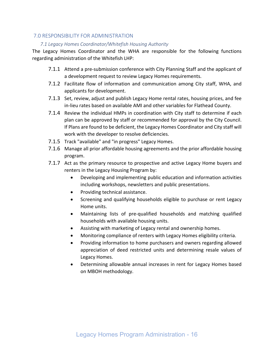# <span id="page-16-1"></span><span id="page-16-0"></span>7.0 RESPONSIBILITY FOR ADMINISTRATION

## *7.1 Legacy Homes Coordinator/Whitefish Housing Authority*

The Legacy Homes Coordinator and the WHA are responsible for the following functions regarding administration of the Whitefish LHP:

- 7.1.1 Attend a pre-submission conference with City Planning Staff and the applicant of a development request to review Legacy Homes requirements.
- 7.1.2 Facilitate flow of information and communication among City staff, WHA, and applicants for development.
- 7.1.3 Set, review, adjust and publish Legacy Home rental rates, housing prices, and fee in-lieu rates based on available AMI and other variables for Flathead County.
- 7.1.4 Review the individual HMPs in coordination with City staff to determine if each plan can be approved by staff or recommended for approval by the City Council. If Plans are found to be deficient, the Legacy Homes Coordinator and City staff will work with the developer to resolve deficiencies.
- 7.1.5 Track "available" and "in progress" Legacy Homes.
- 7.1.6 Manage all prior affordable housing agreements and the prior affordable housing program.
- 7.1.7 Act as the primary resource to prospective and active Legacy Home buyers and renters in the Legacy Housing Program by:
	- Developing and implementing public education and information activities including workshops, newsletters and public presentations.
	- Providing technical assistance.
	- Screening and qualifying households eligible to purchase or rent Legacy Home units.
	- Maintaining lists of pre-qualified households and matching qualified households with available housing units.
	- Assisting with marketing of Legacy rental and ownership homes.
	- Monitoring compliance of renters with Legacy Homes eligibility criteria.
	- Providing information to home purchasers and owners regarding allowed appreciation of deed restricted units and determining resale values of Legacy Homes.
	- Determining allowable annual increases in rent for Legacy Homes based on MBOH methodology.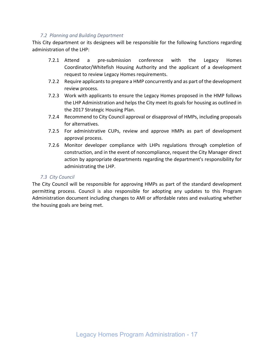## <span id="page-17-0"></span>*7.2 Planning and Building Department*

This City department or its designees will be responsible for the following functions regarding administration of the LHP:

- 7.2.1 Attend a pre-submission conference with the Legacy Homes Coordinator/Whitefish Housing Authority and the applicant of a development request to review Legacy Homes requirements.
- 7.2.2 Require applicants to prepare a HMP concurrently and as part of the development review process.
- 7.2.3 Work with applicants to ensure the Legacy Homes proposed in the HMP follows the LHP Administration and helps the City meet its goals for housing as outlined in the 2017 Strategic Housing Plan.
- 7.2.4 Recommend to City Council approval or disapproval of HMPs, including proposals for alternatives.
- 7.2.5 For administrative CUPs, review and approve HMPs as part of development approval process.
- 7.2.6 Monitor developer compliance with LHPs regulations through completion of construction, and in the event of noncompliance, request the City Manager direct action by appropriate departments regarding the department's responsibility for administrating the LHP.

#### <span id="page-17-1"></span>*7.3 City Council*

The City Council will be responsible for approving HMPs as part of the standard development permitting process. Council is also responsible for adopting any updates to this Program Administration document including changes to AMI or affordable rates and evaluating whether the housing goals are being met.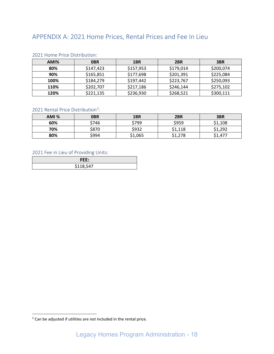# <span id="page-18-0"></span>APPENDIX A: 2021 Home Prices, Rental Prices and Fee In Lieu

| AMI% | <b>OBR</b> | 1BR       | 2 <sub>BR</sub> | 3BR       |  |  |  |  |  |  |  |
|------|------------|-----------|-----------------|-----------|--|--|--|--|--|--|--|
| 80%  | \$147,423  | \$157,953 | \$179,014       | \$200,074 |  |  |  |  |  |  |  |
| 90%  | \$165,851  | \$177,698 | \$201,391       | \$225,084 |  |  |  |  |  |  |  |
| 100% | \$184,279  | \$197,442 | \$223,767       | \$250,093 |  |  |  |  |  |  |  |
| 110% | \$202,707  | \$217,186 | \$246,144       | \$275,102 |  |  |  |  |  |  |  |
| 120% | \$221,135  | \$236,930 | \$268,521       | \$300,111 |  |  |  |  |  |  |  |

#### <span id="page-18-1"></span>2021 Home Price Distribution:

# <span id="page-18-2"></span>[2](#page-18-4)021 Rental Price Distribution<sup>2</sup>:

| AMI % | <b>OBR</b> | 1BR     | 2BR     | 3BR     |
|-------|------------|---------|---------|---------|
| 60%   | \$746      | \$799   | \$959   | \$1,108 |
| 70%   | \$870      | \$932   | \$1,118 | \$1,292 |
| 80%   | \$994      | \$1,065 | \$1,278 | \$1,477 |

## <span id="page-18-3"></span>2021 Fee in Lieu of Providing Units:

| FI<br>tt:            |
|----------------------|
| C11QE17<br>,,,,,,,,, |

<span id="page-18-4"></span><sup>2</sup> Can be adjusted if utilities are *not* included in the rental price.